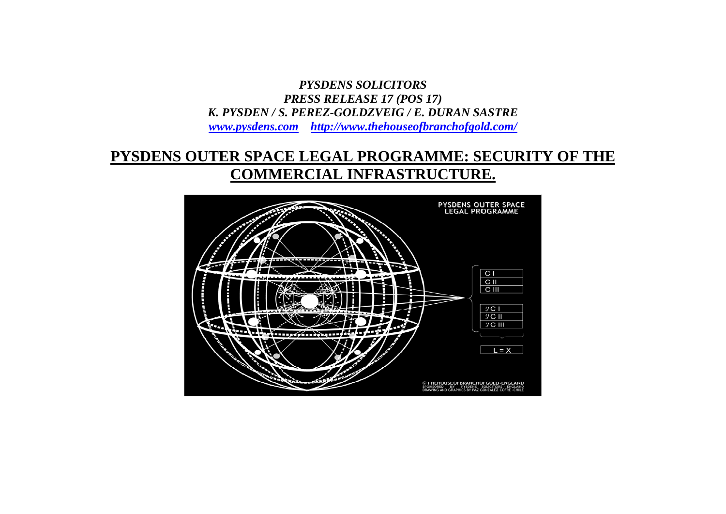*PYSDENS SOLICITORS PRESS RELEASE 17 (POS 17) K. PYSDEN / S. PEREZ-GOLDZVEIG / E. DURAN SASTRE www.pysdens.com http://www.thehouseofbranchofgold.com/*

## **PYSDENS OUTER SPACE LEGAL PROGRAMME: SECURITY OF THE COMMERCIAL INFRASTRUCTURE.**

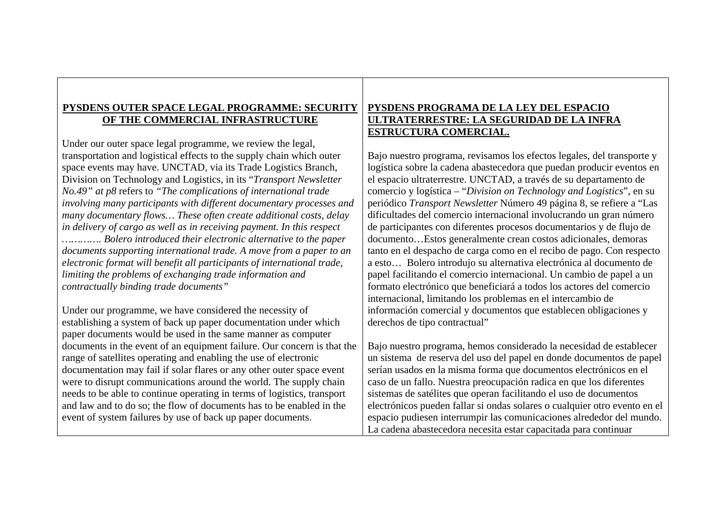## **PYSDENS OUTER SPACE LEGAL PROGRAMME: SECURITY OF THE COMMERCIAL INFRASTRUCTURE**

Under our outer space legal programme, we review the legal, transportation and logistical effects to the supply chain which outer space events may have. UNCTAD, via its Trade Logistics Branch, Division on Technology and Logistics, in its "*Transport Newsletter No.49" at p8* refers to *"The complications of international trade involving many participants with different documentary processes and many documentary flows… These often create additional costs, delay in delivery of cargo as well as in receiving payment. In this respect …………. Bolero introduced their electronic alternative to the paper documents supporting international trade. A move from a paper to an electronic format will benefit all participants of international trade, limiting the problems of exchanging trade information and contractually binding trade documents"* 

Under our programme, we have considered the necessity of establishing a system of back up paper documentation under which paper documents would be used in the same manner as computer documents in the event of an equipment failure. Our concern is that the range of satellites operating and enabling the use of electronic documentation may fail if solar flares or any other outer space event were to disrupt communications around the world. The supply chain needs to be able to continue operating in terms of logistics, transport and law and to do so; the flow of documents has to be enabled in the event of system failures by use of back up paper documents.

## **PYSDENS PROGRAMA DE LA LEY DEL ESPACIO ULTRATERRESTRE: LA SEGURIDAD DE LA INFRA ESTRUCTURA COMERCIAL.**

Bajo nuestro programa, revisamos los efectos legales, del transporte y logística sobre la cadena abastecedora que puedan producir eventos en el espacio ultraterrestre. UNCTAD, a través de su departamento de comercio y logística – "*Division on Technology and Logistics*", en su periódico *Transport Newsletter* Número 49 página 8, se refiere a "Las dificultades del comercio internacional involucrando un gran número de participantes con diferentes procesos documentarios y de flujo de documento…Estos generalmente crean costos adicionales, demoras tanto en el despacho de carga como en el recibo de pago. Con respecto a esto… Bolero introdujo su alternativa electrónica al documento de papel facilitando el comercio internacional. Un cambio de papel a un formato electrónico que beneficiará a todos los actores del comercio internacional, limitando los problemas en el intercambio de información comercial y documentos que establecen obligaciones y derechos de tipo contractual"

Bajo nuestro programa, hemos considerado la necesidad de establecer un sistema de reserva del uso del papel en donde documentos de papel serían usados en la misma forma que documentos electrónicos en el caso de un fallo. Nuestra preocupación radica en que los diferentes sistemas de satélites que operan facilitando el uso de documentos electrónicos pueden fallar si ondas solares o cualquier otro evento en el espacio pudiesen interrumpir las comunicaciones alrededor del mundo. La cadena abastecedora necesita estar capacitada para continuar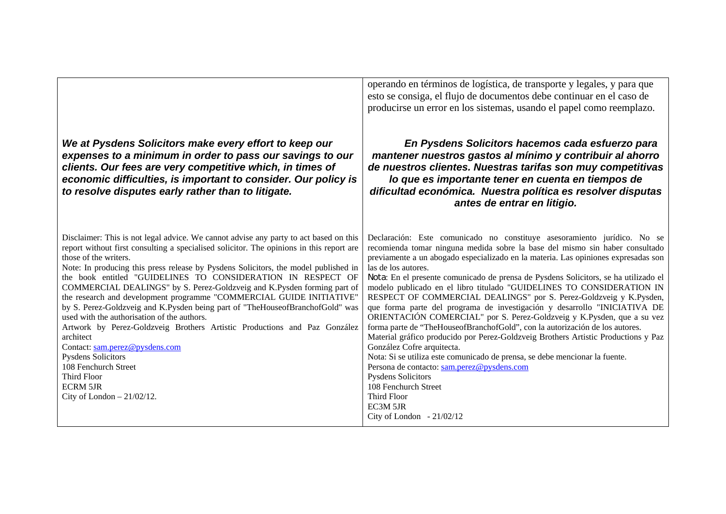| We at Pysdens Solicitors make every effort to keep our<br>expenses to a minimum in order to pass our savings to our<br>clients. Our fees are very competitive which, in times of<br>economic difficulties, is important to consider. Our policy is<br>to resolve disputes early rather than to litigate.                                                                                                                                                                                                                                                                                                                                                                                                                                                                                                                                                                                                | operando en términos de logística, de transporte y legales, y para que<br>esto se consiga, el flujo de documentos debe continuar en el caso de<br>producirse un error en los sistemas, usando el papel como reemplazo.<br>En Pysdens Solicitors hacemos cada esfuerzo para<br>mantener nuestros gastos al mínimo y contribuir al ahorro<br>de nuestros clientes. Nuestras tarifas son muy competitivas<br>lo que es importante tener en cuenta en tiempos de<br>dificultad económica. Nuestra política es resolver disputas<br>antes de entrar en litigio.                                                                                                                                                                                                                                                                                                                                                                                                                                                                                                                                                        |
|---------------------------------------------------------------------------------------------------------------------------------------------------------------------------------------------------------------------------------------------------------------------------------------------------------------------------------------------------------------------------------------------------------------------------------------------------------------------------------------------------------------------------------------------------------------------------------------------------------------------------------------------------------------------------------------------------------------------------------------------------------------------------------------------------------------------------------------------------------------------------------------------------------|-------------------------------------------------------------------------------------------------------------------------------------------------------------------------------------------------------------------------------------------------------------------------------------------------------------------------------------------------------------------------------------------------------------------------------------------------------------------------------------------------------------------------------------------------------------------------------------------------------------------------------------------------------------------------------------------------------------------------------------------------------------------------------------------------------------------------------------------------------------------------------------------------------------------------------------------------------------------------------------------------------------------------------------------------------------------------------------------------------------------|
| Disclaimer: This is not legal advice. We cannot advise any party to act based on this<br>report without first consulting a specialised solicitor. The opinions in this report are<br>those of the writers.<br>Note: In producing this press release by Pysdens Solicitors, the model published in<br>the book entitled "GUIDELINES TO CONSIDERATION IN RESPECT OF<br>COMMERCIAL DEALINGS" by S. Perez-Goldzveig and K.Pysden forming part of<br>the research and development programme "COMMERCIAL GUIDE INITIATIVE"<br>by S. Perez-Goldzveig and K.Pysden being part of "TheHouseofBranchofGold" was<br>used with the authorisation of the authors.<br>Artwork by Perez-Goldzveig Brothers Artistic Productions and Paz González<br>architect<br>Contact: sam.perez@pysdens.com<br><b>Pysdens Solicitors</b><br>108 Fenchurch Street<br>Third Floor<br><b>ECRM 5JR</b><br>City of London $-21/02/12$ . | Declaración: Este comunicado no constituye asesoramiento jurídico. No se<br>recomienda tomar ninguna medida sobre la base del mismo sin haber consultado<br>previamente a un abogado especializado en la materia. Las opiniones expresadas son<br>las de los autores.<br>Nota: En el presente comunicado de prensa de Pysdens Solicitors, se ha utilizado el<br>modelo publicado en el libro titulado "GUIDELINES TO CONSIDERATION IN<br>RESPECT OF COMMERCIAL DEALINGS" por S. Perez-Goldzveig y K.Pysden,<br>que forma parte del programa de investigación y desarrollo "INICIATIVA DE<br>ORIENTACIÓN COMERCIAL" por S. Perez-Goldzveig y K.Pysden, que a su vez<br>forma parte de "TheHouseofBranchofGold", con la autorización de los autores.<br>Material gráfico producido por Perez-Goldzveig Brothers Artistic Productions y Paz<br>González Cofre arquitecta.<br>Nota: Si se utiliza este comunicado de prensa, se debe mencionar la fuente.<br>Persona de contacto: sam.perez@pysdens.com<br><b>Pysdens Solicitors</b><br>108 Fenchurch Street<br>Third Floor<br>EC3M 5JR<br>City of London $-21/02/12$ |